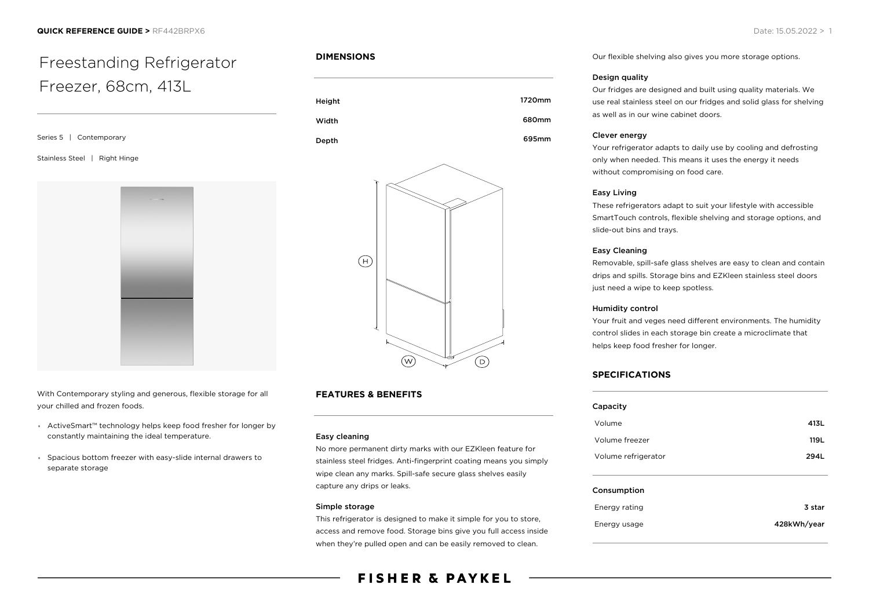# Freestanding Refrigerator Freezer, 68cm, 413L

Series 5 | Contemporary

#### Stainless Steel | Right Hinge



With Contemporary styling and generous, flexible storage for all your chilled and frozen foods.

- ActiveSmart™ technology helps keep food fresher for longer by constantly maintaining the ideal temperature.
- Spacious bottom freezer with easy-slide internal drawers to separate storage

### **DIMENSIONS**





# **FEATURES & BENEFITS**

#### Easy cleaning

No more permanent dirty marks with our EZKleen feature for stainless steel fridges. Anti-fingerprint coating means you simply wipe clean any marks. Spill-safe secure glass shelves easily capture any drips or leaks.

#### Simple storage

This refrigerator is designed to make it simple for you to store, access and remove food. Storage bins give you full access inside when they're pulled open and can be easily removed to clean.

# **FISHER & PAYKEL**

Our flexible shelving also gives you more storage options.

#### Design quality

Our fridges are designed and built using quality materials. We use real stainless steel on our fridges and solid glass for shelving as well as in our wine cabinet doors.

#### Clever energy

Your refrigerator adapts to daily use by cooling and defrosting only when needed. This means it uses the energy it needs without compromising on food care.

#### Easy Living

These refrigerators adapt to suit your lifestyle with accessible SmartTouch controls, flexible shelving and storage options, and slide-out bins and trays.

#### Easy Cleaning

Removable, spill-safe glass shelves are easy to clean and contain drips and spills. Storage bins and EZKleen stainless steel doors just need a wipe to keep spotless.

#### Humidity control

Your fruit and veges need different environments. The humidity control slides in each storage bin create a microclimate that helps keep food fresher for longer.

## **SPECIFICATIONS**

Energy usage

| Capacity            |        |
|---------------------|--------|
| Volume              | 413L   |
| Volume freezer      | 119L   |
| Volume refrigerator | 294L   |
| Consumption         |        |
| Energy rating       | 3 star |

| 428kWh/yea |
|------------|
|            |